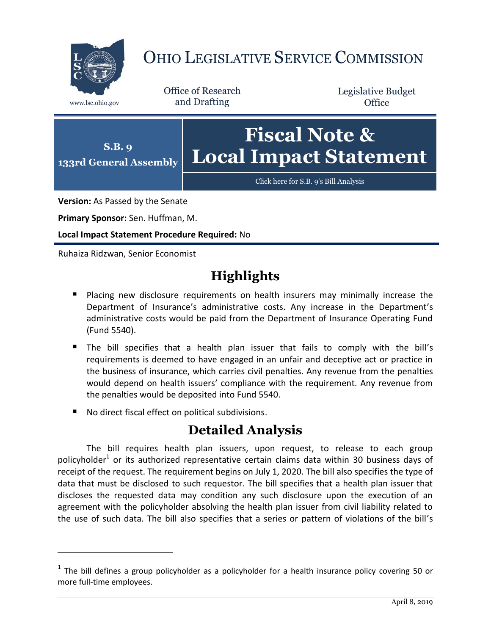

## OHIO LEGISLATIVE SERVICE COMMISSION

Office of Research www.lsc.ohio.gov and Drafting

Legislative Budget **Office** 



**Version:** As Passed by the Senate

**Primary Sponsor:** Sen. Huffman, M.

**Local Impact Statement Procedure Required:** No

Ruhaiza Ridzwan, Senior Economist

 $\overline{a}$ 

## **Highlights**

- **Placing new disclosure requirements on health insurers may minimally increase the** Department of Insurance's administrative costs. Any increase in the Department's administrative costs would be paid from the Department of Insurance Operating Fund (Fund 5540).
- The bill specifies that a health plan issuer that fails to comply with the bill's requirements is deemed to have engaged in an unfair and deceptive act or practice in the business of insurance, which carries civil penalties. Any revenue from the penalties would depend on health issuers' compliance with the requirement. Any revenue from the penalties would be deposited into Fund 5540.
- No direct fiscal effect on political subdivisions.

## **Detailed Analysis**

The bill requires health plan issuers, upon request, to release to each group policyholder<sup>1</sup> or its authorized representative certain claims data within 30 business days of receipt of the request. The requirement begins on July 1, 2020. The bill also specifies the type of data that must be disclosed to such requestor. The bill specifies that a health plan issuer that discloses the requested data may condition any such disclosure upon the execution of an agreement with the policyholder absolving the health plan issuer from civil liability related to the use of such data. The bill also specifies that a series or pattern of violations of the bill's

 $<sup>1</sup>$  The bill defines a group policyholder as a policyholder for a health insurance policy covering 50 or</sup> more full-time employees.